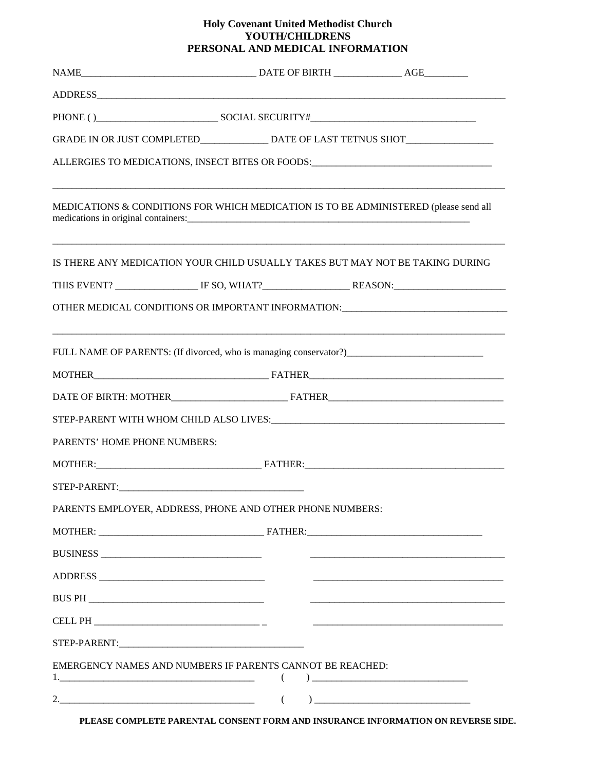## **Holy Covenant United Methodist Church YOUTH/CHILDRENS PERSONAL AND MEDICAL INFORMATION**

|                              | GRADE IN OR JUST COMPLETED_______________________DATE OF LAST TETNUS SHOT___________________________                                                                                                                                                                                                                   |                                     |
|------------------------------|------------------------------------------------------------------------------------------------------------------------------------------------------------------------------------------------------------------------------------------------------------------------------------------------------------------------|-------------------------------------|
|                              | ALLERGIES TO MEDICATIONS, INSECT BITES OR FOODS: ________________________________                                                                                                                                                                                                                                      |                                     |
|                              | MEDICATIONS & CONDITIONS FOR WHICH MEDICATION IS TO BE ADMINISTERED (please send all<br>medications in original containers: example and the state of the state of the state of the state of the state of the state of the state of the state of the state of the state of the state of the state of the state of the s |                                     |
|                              | IS THERE ANY MEDICATION YOUR CHILD USUALLY TAKES BUT MAY NOT BE TAKING DURING                                                                                                                                                                                                                                          |                                     |
|                              |                                                                                                                                                                                                                                                                                                                        |                                     |
|                              | OTHER MEDICAL CONDITIONS OR IMPORTANT INFORMATION: _____________________________                                                                                                                                                                                                                                       |                                     |
|                              | FULL NAME OF PARENTS: (If divorced, who is managing conservator?) __________________________________                                                                                                                                                                                                                   |                                     |
|                              |                                                                                                                                                                                                                                                                                                                        |                                     |
|                              |                                                                                                                                                                                                                                                                                                                        |                                     |
|                              |                                                                                                                                                                                                                                                                                                                        |                                     |
| PARENTS' HOME PHONE NUMBERS: |                                                                                                                                                                                                                                                                                                                        |                                     |
|                              |                                                                                                                                                                                                                                                                                                                        |                                     |
|                              |                                                                                                                                                                                                                                                                                                                        |                                     |
|                              | PARENTS EMPLOYER, ADDRESS, PHONE AND OTHER PHONE NUMBERS:                                                                                                                                                                                                                                                              |                                     |
|                              |                                                                                                                                                                                                                                                                                                                        |                                     |
|                              |                                                                                                                                                                                                                                                                                                                        |                                     |
|                              |                                                                                                                                                                                                                                                                                                                        |                                     |
|                              |                                                                                                                                                                                                                                                                                                                        |                                     |
|                              |                                                                                                                                                                                                                                                                                                                        |                                     |
|                              |                                                                                                                                                                                                                                                                                                                        |                                     |
|                              | EMERGENCY NAMES AND NUMBERS IF PARENTS CANNOT BE REACHED:<br>€                                                                                                                                                                                                                                                         | ) and the contract of $\mathcal{L}$ |
|                              | $\left($                                                                                                                                                                                                                                                                                                               |                                     |

**PLEASE COMPLETE PARENTAL CONSENT FORM AND INSURANCE INFORMATION ON REVERSE SIDE.**